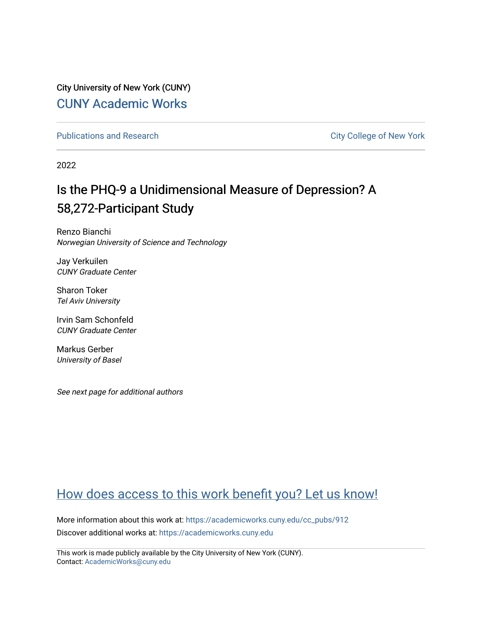City University of New York (CUNY) [CUNY Academic Works](https://academicworks.cuny.edu/) 

[Publications and Research](https://academicworks.cuny.edu/cc_pubs) **City College of New York** Publications and Research

2022

# Is the PHQ-9 a Unidimensional Measure of Depression? A 58,272-Participant Study

Renzo Bianchi Norwegian University of Science and Technology

Jay Verkuilen CUNY Graduate Center

Sharon Toker Tel Aviv University

Irvin Sam Schonfeld CUNY Graduate Center

Markus Gerber University of Basel

See next page for additional authors

## [How does access to this work benefit you? Let us know!](http://ols.cuny.edu/academicworks/?ref=https://academicworks.cuny.edu/cc_pubs/912)

More information about this work at: [https://academicworks.cuny.edu/cc\\_pubs/912](https://academicworks.cuny.edu/cc_pubs/912)  Discover additional works at: [https://academicworks.cuny.edu](https://academicworks.cuny.edu/?)

This work is made publicly available by the City University of New York (CUNY). Contact: [AcademicWorks@cuny.edu](mailto:AcademicWorks@cuny.edu)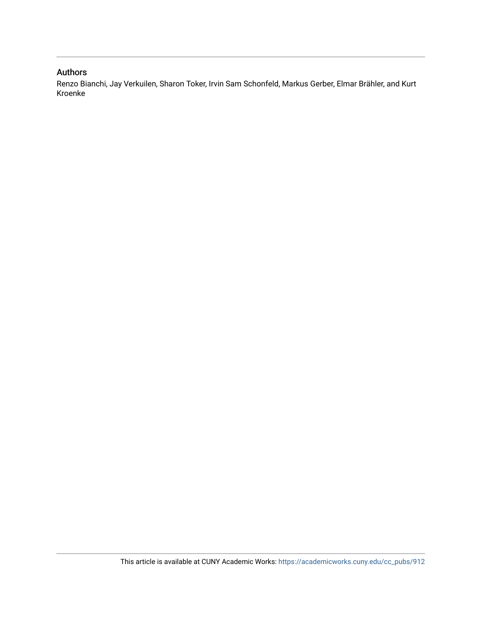### Authors

Renzo Bianchi, Jay Verkuilen, Sharon Toker, Irvin Sam Schonfeld, Markus Gerber, Elmar Brähler, and Kurt Kroenke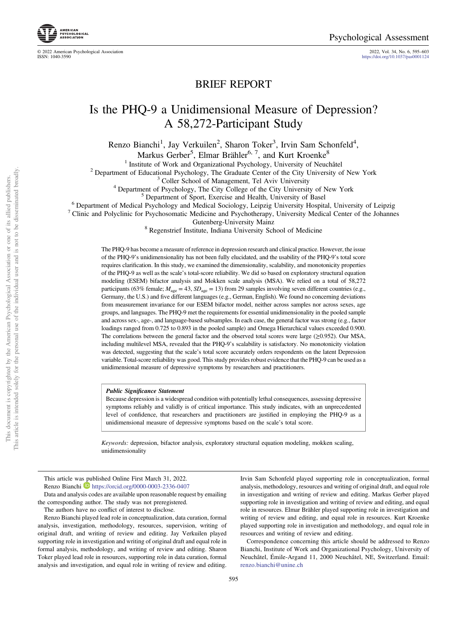© 2022 American Psychological Association 2022, Vol. 34, No. 6, 595–603 <https://doi.org/10.1037/pas0001124>



## Is the PHQ-9 a Unidimensional Measure of Depression? A 58,272-Participant Study

Renzo Bianchi<sup>1</sup>, Jay Verkuilen<sup>2</sup>, Sharon Toker<sup>3</sup>, Irvin Sam Schonfeld<sup>4</sup>,

Markus Gerber<sup>5</sup>, Elmar Brähler<sup>6, 7</sup>, and Kurt Kroenke<sup>8</sup>

<sup>1</sup> Institute of Work and Organizational Psychology, University of Neuchâtel<br><sup>2</sup> Department of Educational Psychology, The Graduate Center of the City University of New York<br><sup>3</sup> Coller School of Management, Tel Aviv Unive

Gutenberg-University Mainz <sup>8</sup> Regenstrief Institute, Indiana University School of Medicine

The PHQ-9 has become a measure of reference in depression research and clinical practice. However, the issue of the PHQ-9's unidimensionality has not been fully elucidated, and the usability of the PHQ-9's total score requires clarification. In this study, we examined the dimensionality, scalability, and monotonicity properties of the PHQ-9 as well as the scale's total-score reliability. We did so based on exploratory structural equation modeling (ESEM) bifactor analysis and Mokken scale analysis (MSA). We relied on a total of 58,272 participants (63% female;  $M_{\text{age}} = 43$ ,  $SD_{\text{age}} = 13$ ) from 29 samples involving seven different countries (e.g., Germany, the U.S.) and five different languages (e.g., German, English). We found no concerning deviations from measurement invariance for our ESEM bifactor model, neither across samples nor across sexes, age groups, and languages. The PHQ-9 met the requirements for essential unidimensionality in the pooled sample and across sex-, age-, and language-based subsamples. In each case, the general factor was strong (e.g., factor loadings ranged from 0.725 to 0.893 in the pooled sample) and Omega Hierarchical values exceeded 0.900. The correlations between the general factor and the observed total scores were large (≥0.952). Our MSA, including multilevel MSA, revealed that the PHQ-9's scalability is satisfactory. No monotonicity violation was detected, suggesting that the scale's total score accurately orders respondents on the latent Depression variable. Total-score reliability was good. This study provides robust evidence that the PHQ-9 can be used as a unidimensional measure of depressive symptoms by researchers and practitioners.

#### Public Significance Statement

Because depression is a widespread condition with potentially lethal consequences, assessing depressive symptoms reliably and validly is of critical importance. This study indicates, with an unprecedented level of confidence, that researchers and practitioners are justified in employing the PHQ-9 as a unidimensional measure of depressive symptoms based on the scale's total score.

Keywords: depression, bifactor analysis, exploratory structural equation modeling, mokken scaling, unidimensionality

This article was published Online First March 31, 2022. Renzo Bianchi <https://orcid.org/0000-0003-2336-0407>

Data and analysis codes are available upon reasonable request by emailing the corresponding author. The study was not preregistered.

The authors have no conflict of interest to disclose.

Renzo Bianchi played lead role in conceptualization, data curation, formal analysis, investigation, methodology, resources, supervision, writing of original draft, and writing of review and editing. Jay Verkuilen played supporting role in investigation and writing of original draft and equal role in formal analysis, methodology, and writing of review and editing. Sharon Toker played lead role in resources, supporting role in data curation, formal analysis and investigation, and equal role in writing of review and editing.

Irvin Sam Schonfeld played supporting role in conceptualization, formal analysis, methodology, resources and writing of original draft, and equal role in investigation and writing of review and editing. Markus Gerber played supporting role in investigation and writing of review and editing, and equal role in resources. Elmar Brähler played supporting role in investigation and writing of review and editing, and equal role in resources. Kurt Kroenke played supporting role in investigation and methodology, and equal role in resources and writing of review and editing.

Correspondence concerning this article should be addressed to Renzo Bianchi, Institute of Work and Organizational Psychology, University of Neuchâtel, Émile-Argand 11, 2000 Neuchâtel, NE, Switzerland. Email: [renzo.bianchi@unine.ch](mailto:renzo.bianchi@unine.ch)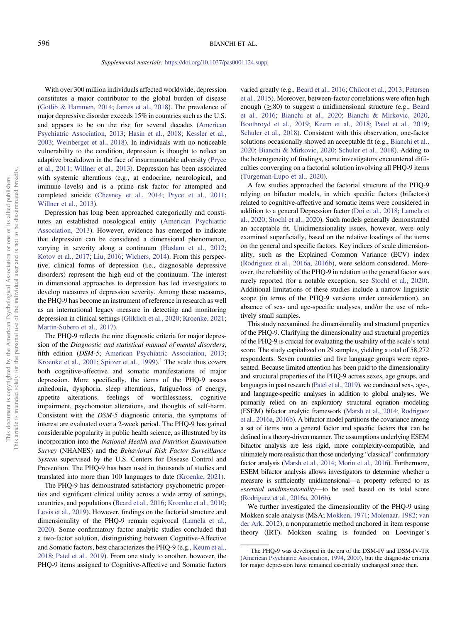#### Supplemental materials: <https://doi.org/10.1037/pas0001124.supp>

With over 300 million individuals affected worldwide, depression constitutes a major contributor to the global burden of disease ([Gotlib & Hammen, 2014;](#page-9-0) [James et al., 2018](#page-9-0)). The prevalence of major depressive disorder exceeds 15% in countries such as the U.S. and appears to be on the rise for several decades ([American](#page-9-0) [Psychiatric Association, 2013](#page-9-0); [Hasin et al., 2018;](#page-9-0) [Kessler et al.,](#page-9-0) [2003;](#page-9-0) [Weinberger et al., 2018](#page-10-0)). In individuals with no noticeable vulnerability to the condition, depression is thought to reflect an adaptive breakdown in the face of insurmountable adversity ([Pryce](#page-10-0) [et al., 2011](#page-10-0); [Willner et al., 2013\)](#page-10-0). Depression has been associated with systemic alterations (e.g., at endocrine, neurological, and immune levels) and is a prime risk factor for attempted and completed suicide ([Chesney et al., 2014](#page-9-0); [Pryce et al., 2011;](#page-10-0) [Willner et al., 2013](#page-10-0)).

Depression has long been approached categorically and constitutes an established nosological entity [\(American Psychiatric](#page-9-0) [Association, 2013](#page-9-0)). However, evidence has emerged to indicate that depression can be considered a dimensional phenomenon, varying in severity along a continuum [\(Haslam et al., 2012;](#page-9-0) [Kotov et al., 2017;](#page-9-0) [Liu, 2016](#page-9-0); [Wichers, 2014](#page-10-0)). From this perspective, clinical forms of depression (i.e., diagnosable depressive disorders) represent the high end of the continuum. The interest in dimensional approaches to depression has led investigators to develop measures of depression severity. Among these measures, the PHQ-9 has become an instrument of reference in research as well as an international legacy measure in detecting and monitoring depression in clinical settings [\(Gliklich et al., 2020](#page-9-0); [Kroenke, 2021;](#page-9-0) [Martin-Subero et al., 2017\)](#page-10-0).

The PHQ-9 reflects the nine diagnostic criteria for major depression of the Diagnostic and statistical manual of mental disorders, fifth edition (DSM-5; [American Psychiatric Association, 2013;](#page-9-0) [Kroenke et al., 2001;](#page-9-0) [Spitzer et al., 1999\)](#page-10-0).<sup>1</sup> The scale thus covers both cognitive-affective and somatic manifestations of major depression. More specifically, the items of the PHQ-9 assess anhedonia, dysphoria, sleep alterations, fatigue/loss of energy, appetite alterations, feelings of worthlessness, cognitive impairment, psychomotor alterations, and thoughts of self-harm. Consistent with the DSM-5 diagnostic criteria, the symptoms of interest are evaluated over a 2-week period. The PHQ-9 has gained considerable popularity in public health science, as illustrated by its incorporation into the National Health and Nutrition Examination Survey (NHANES) and the Behavioral Risk Factor Surveillance System supervised by the U.S. Centers for Disease Control and Prevention. The PHQ-9 has been used in thousands of studies and translated into more than 100 languages to date ([Kroenke, 2021](#page-9-0)).

The PHQ-9 has demonstrated satisfactory psychometric properties and significant clinical utility across a wide array of settings, countries, and populations [\(Beard et al., 2016](#page-9-0); [Kroenke et al., 2010;](#page-9-0) [Levis et al., 2019\)](#page-9-0). However, findings on the factorial structure and dimensionality of the PHQ-9 remain equivocal ([Lamela et al.,](#page-9-0) [2020\)](#page-9-0). Some confirmatory factor analytic studies concluded that a two-factor solution, distinguishing between Cognitive-Affective and Somatic factors, best characterizes the PHQ-9 (e.g., [Keum et al.,](#page-9-0) [2018;](#page-9-0) [Patel et al., 2019](#page-10-0)). From one study to another, however, the PHQ-9 items assigned to Cognitive-Affective and Somatic factors varied greatly (e.g., [Beard et al., 2016;](#page-9-0) [Chilcot et al., 2013](#page-9-0); [Petersen](#page-10-0) [et al., 2015](#page-10-0)). Moreover, between-factor correlations were often high enough  $(\geq 80)$  to suggest a unidimensional structure (e.g., [Beard](#page-9-0) [et al., 2016;](#page-9-0) [Bianchi et al., 2020;](#page-9-0) [Bianchi & Mirkovic, 2020,](#page-9-0) [Boothroyd et al., 2019;](#page-9-0) [Keum et al., 2018](#page-9-0); [Patel et al., 2019;](#page-10-0) [Schuler et al., 2018](#page-10-0)). Consistent with this observation, one-factor solutions occasionally showed an acceptable fit (e.g., [Bianchi et al.,](#page-9-0) [2020;](#page-9-0) [Bianchi & Mirkovic, 2020;](#page-9-0) [Schuler et al., 2018\)](#page-10-0). Adding to the heterogeneity of findings, some investigators encountered difficulties converging on a factorial solution involving all PHQ-9 items ([Turgeman-Lupo et al., 2020](#page-10-0)).

A few studies approached the factorial structure of the PHQ-9 relying on bifactor models, in which specific factors (bifactors) related to cognitive-affective and somatic items were considered in addition to a general Depression factor [\(Doi et al., 2018;](#page-9-0) [Lamela et](#page-9-0) [al., 2020](#page-9-0); [Stochl et al., 2020\)](#page-10-0). Such models generally demonstrated an acceptable fit. Unidimensionality issues, however, were only examined superficially, based on the relative loadings of the items on the general and specific factors. Key indices of scale dimensionality, such as the Explained Common Variance (ECV) index ([Rodriguez et al., 2016a,](#page-10-0) [2016b](#page-10-0)), were seldom considered. Moreover, the reliability of the PHQ-9 in relation to the general factor was rarely reported (for a notable exception, see [Stochl et al., 2020\)](#page-10-0). Additional limitations of these studies include a narrow linguistic scope (in terms of the PHQ-9 versions under consideration), an absence of sex- and age-specific analyses, and/or the use of relatively small samples.

This study reexamined the dimensionality and structural properties of the PHQ-9. Clarifying the dimensionality and structural properties of the PHQ-9 is crucial for evaluating the usability of the scale's total score. The study capitalized on 29 samples, yielding a total of 58,272 respondents. Seven countries and five language groups were represented. Because limited attention has been paid to the dimensionality and structural properties of the PHQ-9 across sexes, age groups, and languages in past research [\(Patel et al., 2019](#page-10-0)), we conducted sex-, age-, and language-specific analyses in addition to global analyses. We primarily relied on an exploratory structural equation modeling (ESEM) bifactor analytic framework [\(Marsh et al., 2014;](#page-9-0) [Rodriguez](#page-10-0) [et al., 2016a,](#page-10-0) [2016b](#page-10-0)). A bifactor model partitions the covariance among a set of items into a general factor and specific factors that can be defined in a theory-driven manner. The assumptions underlying ESEM bifactor analysis are less rigid, more complexity-compatible, and ultimately more realistic than those underlying "classical" confirmatory factor analysis [\(Marsh et al., 2014](#page-9-0); [Morin et al., 2016\)](#page-10-0). Furthermore, ESEM bifactor analysis allows investigators to determine whether a measure is sufficiently unidimensional—a property referred to as essential unidimensionality—to be used based on its total score ([Rodriguez et al., 2016a](#page-10-0), [2016b\)](#page-10-0).

We further investigated the dimensionality of the PHQ-9 using Mokken scale analysis (MSA; [Mokken, 1971;](#page-10-0) [Molenaar, 1982;](#page-10-0) [van](#page-10-0) [der Ark, 2012](#page-10-0)), a nonparametric method anchored in item response theory (IRT). Mokken scaling is founded on Loevinger's

<sup>&</sup>lt;sup>1</sup> The PHQ-9 was developed in the era of the DSM-IV and DSM-IV-TR ([American Psychiatric Association, 1994](#page-9-0), [2000](#page-9-0)), but the diagnostic criteria for major depression have remained essentially unchanged since then.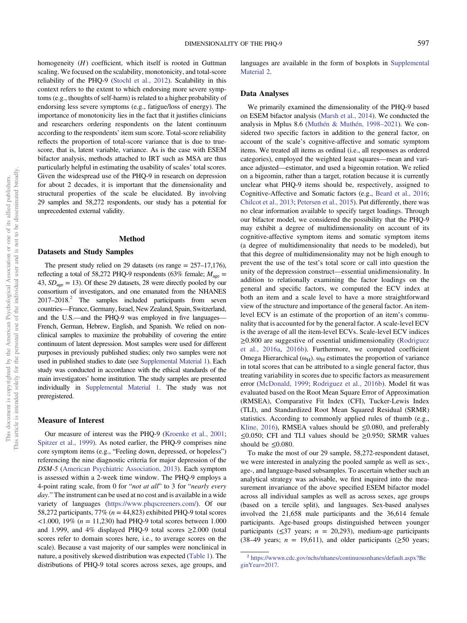homogeneity  $(H)$  coefficient, which itself is rooted in Guttman scaling. We focused on the scalability, monotonicity, and total-score reliability of the PHQ-9 [\(Stochl et al., 2012\)](#page-10-0). Scalability in this context refers to the extent to which endorsing more severe symptoms (e.g., thoughts of self-harm) is related to a higher probability of endorsing less severe symptoms (e.g., fatigue/loss of energy). The importance of monotonicity lies in the fact that it justifies clinicians and researchers ordering respondents on the latent continuum according to the respondents' item sum score. Total-score reliability reflects the proportion of total-score variance that is due to truescore, that is, latent variable, variance. As is the case with ESEM bifactor analysis, methods attached to IRT such as MSA are thus particularly helpful in estimating the usability of scales' total scores. Given the widespread use of the PHQ-9 in research on depression for about 2 decades, it is important that the dimensionality and structural properties of the scale be elucidated. By involving 29 samples and 58,272 respondents, our study has a potential for unprecedented external validity.

#### Method

#### Datasets and Study Samples

The present study relied on 29 datasets (*ns* range  $= 257-17,176$ ), reflecting a total of 58,272 PHQ-9 respondents (63% female;  $M_{\text{age}} =$ 43,  $SD<sub>age</sub> = 13$ ). Of these 29 datasets, 28 were directly pooled by our consortium of investigators, and one emanated from the NHANES  $2017-2018<sup>2</sup>$  The samples included participants from seven countries—France, Germany, Israel, New Zealand, Spain, Switzerland, and the U.S.—and the PHQ-9 was employed in five languages— French, German, Hebrew, English, and Spanish. We relied on nonclinical samples to maximize the probability of covering the entire continuum of latent depression. Most samples were used for different purposes in previously published studies; only two samples were not used in published studies to date (see [Supplemental Material 1](https://doi.org/10.1037/pas0001124.supp)). Each study was conducted in accordance with the ethical standards of the main investigators' home institution. The study samples are presented individually in [Supplemental Material 1](https://doi.org/10.1037/pas0001124.supp). The study was not preregistered.

#### Measure of Interest

Our measure of interest was the PHQ-9 ([Kroenke et al., 2001;](#page-9-0) [Spitzer et al., 1999](#page-10-0)). As noted earlier, the PHQ-9 comprises nine core symptom items (e.g., "Feeling down, depressed, or hopeless") referencing the nine diagnostic criteria for major depression of the DSM-5 ([American Psychiatric Association, 2013\)](#page-9-0). Each symptom is assessed within a 2-week time window. The PHQ-9 employs a 4-point rating scale, from 0 for "not at all" to 3 for "nearly every day." The instrument can be used at no cost and is available in a wide variety of languages ([https://www.phqscreeners.com/\)](https://www.phqscreeners.com/). Of our 58,272 participants, 77% ( $n = 44,823$ ) exhibited PHQ-9 total scores  $\langle 1.000, 19\% \; (n = 11,230) \;$  had PHO-9 total scores between 1.000 and 1.999, and 4% displayed PHQ-9 total scores ≥2.000 (total scores refer to domain scores here, i.e., to average scores on the scale). Because a vast majority of our samples were nonclinical in nature, a positively skewed distribution was expected ([Table 1](#page-5-0)). The distributions of PHQ-9 total scores across sexes, age groups, and languages are available in the form of boxplots in [Supplemental](https://doi.org/10.1037/pas0001124.supp) [Material 2](https://doi.org/10.1037/pas0001124.supp).

#### Data Analyses

We primarily examined the dimensionality of the PHQ-9 based on ESEM bifactor analysis ([Marsh et al., 2014](#page-9-0)). We conducted the analysis in Mplus 8.6 [\(Muthén & Muthén, 1998](#page-10-0)–2021). We considered two specific factors in addition to the general factor, on account of the scale's cognitive-affective and somatic symptom items. We treated all items as ordinal (i.e., all responses as ordered categories), employed the weighted least squares—mean and variance adjusted—estimator, and used a bigeomin rotation. We relied on a bigeomin, rather than a target, rotation because it is currently unclear what PHQ-9 items should be, respectively, assigned to Cognitive-Affective and Somatic factors (e.g., [Beard et al., 2016;](#page-9-0) [Chilcot et al., 2013;](#page-9-0) [Petersen et al., 2015\)](#page-10-0). Put differently, there was no clear information available to specify target loadings. Through our bifactor model, we considered the possibility that the PHQ-9 may exhibit a degree of multidimensionality on account of its cognitive-affective symptom items and somatic symptom items (a degree of multidimensionality that needs to be modeled), but that this degree of multidimensionality may not be high enough to prevent the use of the test's total score or call into question the unity of the depression construct—essential unidimensionality. In addition to relationally examining the factor loadings on the general and specific factors, we computed the ECV index at both an item and a scale level to have a more straightforward view of the structure and importance of the general factor. An itemlevel ECV is an estimate of the proportion of an item's communality that is accounted for by the general factor. A scale-level ECV is the average of all the item-level ECVs. Scale-level ECV indices ≥0.800 are suggestive of essential unidimensionality [\(Rodriguez](#page-10-0) [et al., 2016a,](#page-10-0) [2016b](#page-10-0)). Furthermore, we computed coefficient Omega Hierarchical ( $\omega_H$ ).  $\omega_H$  estimates the proportion of variance in total scores that can be attributed to a single general factor, thus treating variability in scores due to specific factors as measurement error ([McDonald, 1999](#page-10-0); [Rodriguez et al., 2016b\)](#page-10-0). Model fit was evaluated based on the Root Mean Square Error of Approximation (RMSEA), Comparative Fit Index (CFI), Tucker-Lewis Index (TLI), and Standardized Root Mean Squared Residual (SRMR) statistics. According to commonly applied rules of thumb (e.g., [Kline, 2016](#page-9-0)), RMSEA values should be  $\leq 0.080$ , and preferably  $\leq$ 0.050; CFI and TLI values should be  $\geq$ 0.950; SRMR values should be  $\leq 0.080$ .

To make the most of our 29 sample, 58,272-respondent dataset, we were interested in analyzing the pooled sample as well as sex-, age-, and language-based subsamples. To ascertain whether such an analytical strategy was advisable, we first inquired into the measurement invariance of the above specified ESEM bifactor model across all individual samples as well as across sexes, age groups (based on a tercile split), and languages. Sex-based analyses involved the 21,658 male participants and the 36,614 female participants. Age-based groups distinguished between younger participants ( $\leq$ 37 years;  $n = 20,293$ ), medium-age participants (38–49 years;  $n = 19,611$ ), and older participants ( $\geq 50$  years;

<sup>2</sup> [https://wwwn.cdc.gov/nchs/nhanes/continuousnhanes/default.aspx?Be](https://wwwn.cdc.gov/nchs/nhanes/continuousnhanes/default.aspx?BeginYear=2017) [ginYear](https://wwwn.cdc.gov/nchs/nhanes/continuousnhanes/default.aspx?BeginYear=2017)=2017.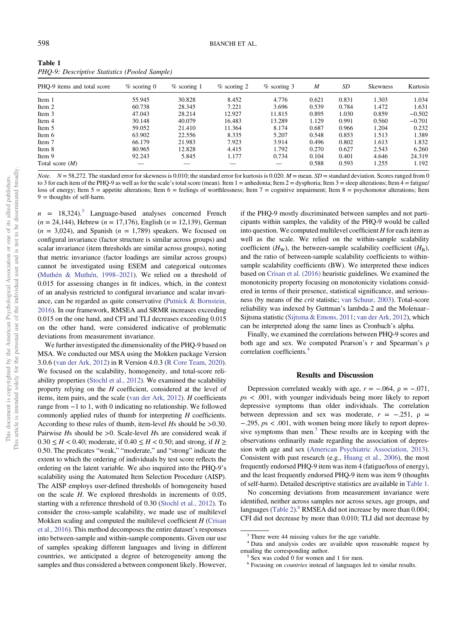<span id="page-5-0"></span>

| Table 1                                       |  |
|-----------------------------------------------|--|
| PHQ-9: Descriptive Statistics (Pooled Sample) |  |

| PHO-9 items and total score | $\%$ scoring 0 | $%$ scoring 1 | $%$ scoring 2 | $%$ scoring 3 | M     | SD    | <b>Skewness</b> | Kurtosis |
|-----------------------------|----------------|---------------|---------------|---------------|-------|-------|-----------------|----------|
| Item 1                      | 55.945         | 30.828        | 8.452         | 4.776         | 0.621 | 0.831 | 1.303           | 1.034    |
| Item 2                      | 60.738         | 28.345        | 7.221         | 3.696         | 0.539 | 0.784 | 1.472           | 1.631    |
| Item 3                      | 47.043         | 28.214        | 12.927        | 11.815        | 0.895 | 1.030 | 0.859           | $-0.502$ |
| Item 4                      | 30.148         | 40.079        | 16.483        | 13.289        | 1.129 | 0.991 | 0.560           | $-0.701$ |
| Item 5                      | 59.052         | 21.410        | 11.364        | 8.174         | 0.687 | 0.966 | 1.204           | 0.232    |
| Item 6                      | 63.902         | 22.556        | 8.335         | 5.207         | 0.548 | 0.853 | 1.513           | 1.389    |
| Item 7                      | 66.179         | 21.983        | 7.923         | 3.914         | 0.496 | 0.802 | 1.613           | 1.832    |
| Item 8                      | 80.965         | 12.828        | 4.415         | 1.792         | 0.270 | 0.627 | 2.543           | 6.260    |
| Item 9                      | 92.243         | 5.845         | 1.177         | 0.734         | 0.104 | 0.401 | 4.646           | 24.319   |
| Total score $(M)$           |                |               |               |               | 0.588 | 0.593 | 1.255           | 1.192    |

*Note.*  $N = 58,272$ . The standard error for skewness is 0.010; the standard error for kurtosis is 0.020.  $M =$  mean.  $SD =$  standard deviation. Scores ranged from 0 to 3 for each item of the PHQ-9 as well as for the scale's total score (mean). Item 1 = anhedonia; Item 2 = dysphoria; Item 3 = sleep alterations; Item 4 = fatigue/ loss of energy; Item 5 = appetite alterations; Item 6 = feelings of worthlessness; Item 7 = cognitive impairment; Item 8 = psychomotor alterations; Item  $9 =$  thoughts of self-harm.

 $n = 18,324$ .<sup>3</sup> Language-based analyses concerned French  $(n = 24,144)$ , Hebrew  $(n = 17,176)$ , English  $(n = 12,139)$ , German  $(n = 3.024)$ , and Spanish  $(n = 1.789)$  speakers. We focused on configural invariance (factor structure is similar across groups) and scalar invariance (item thresholds are similar across groups), noting that metric invariance (factor loadings are similar across groups) cannot be investigated using ESEM and categorical outcomes ([Muthén & Muthén, 1998](#page-10-0)–2021). We relied on a threshold of 0.015 for assessing changes in fit indices, which, in the context of an analysis restricted to configural invariance and scalar invariance, can be regarded as quite conservative [\(Putnick & Bornstein,](#page-10-0) [2016\)](#page-10-0). In our framework, RMSEA and SRMR increases exceeding 0.015 on the one hand, and CFI and TLI decreases exceeding 0.015 on the other hand, were considered indicative of problematic deviations from measurement invariance.

We further investigated the dimensionality of the PHQ-9 based on MSA. We conducted our MSA using the Mokken package Version 3.0.6 [\(van der Ark, 2012](#page-10-0)) in R Version 4.0.3 [\(R Core Team, 2020\)](#page-10-0). We focused on the scalability, homogeneity, and total-score reliability properties ([Stochl et al., 2012\)](#page-10-0). We examined the scalability property relying on the H coefficient, considered at the level of items, item pairs, and the scale [\(van der Ark, 2012](#page-10-0)). H coefficients range from −1 to 1, with 0 indicating no relationship. We followed commonly applied rules of thumb for interpreting H coefficients. According to these rules of thumb, item-level Hs should be >0.30. Pairwise Hs should be >0. Scale-level Hs are considered weak if  $0.30 \leq H < 0.40$ ; moderate, if  $0.40 \leq H < 0.50$ ; and strong, if  $H \geq$ 0.50. The predicates "weak," "moderate," and "strong" indicate the extent to which the ordering of individuals by test score reflects the ordering on the latent variable. We also inquired into the PHQ-9's scalability using the Automated Item Selection Procedure (AISP). The AISP employs user-defined thresholds of homogeneity based on the scale H. We explored thresholds in increments of 0.05, starting with a reference threshold of 0.30 ([Stochl et al., 2012](#page-10-0)). To consider the cross-sample scalability, we made use of multilevel Mokken scaling and computed the multilevel coefficient  $H$  ([Crisan](#page-9-0) [et al., 2016\)](#page-9-0). This method decomposes the entire dataset's responses into between-sample and within-sample components. Given our use of samples speaking different languages and living in different countries, we anticipated a degree of heterogeneity among the samples and thus considered a between component likely. However, if the PHQ-9 mostly discriminated between samples and not participants within samples, the validity of the PHQ-9 would be called into question. We computed multilevel coefficient  $H$  for each item as well as the scale. We relied on the within-sample scalability coefficient  $(H_W)$ , the between-sample scalability coefficient  $(H_B)$ , and the ratio of between-sample scalability coefficients to withinsample scalability coefficients (BW). We interpreted these indices based on [Crisan et al. \(2016\)](#page-9-0) heuristic guidelines. We examined the monotonicity property focusing on monotonicity violations considered in terms of their presence, statistical significance, and seriousness (by means of the crit statistic; [van Schuur, 2003\)](#page-10-0). Total-score reliability was indexed by Guttman's lambda-2 and the Molenaar– Sijtsma statistic ([Sijtsma & Emons, 2011;](#page-10-0) [van der Ark, 2012](#page-10-0)), which can be interpreted along the same lines as Cronbach's alpha.

Finally, we examined the correlations between PHQ-9 scores and both age and sex. We computed Pearson's  $r$  and Spearman's  $\rho$ correlation coefficients.<sup>4</sup>

#### Results and Discussion

Depression correlated weakly with age,  $r = -.064$ ,  $\rho = -.071$ ,  $ps < .001$ , with younger individuals being more likely to report depressive symptoms than older individuals. The correlation between depression and sex was moderate,  $r = -.251$ ,  $\rho =$ −.295, ps < .001, with women being more likely to report depressive symptoms than men. $5$  These results are in keeping with the observations ordinarily made regarding the association of depression with age and sex ([American Psychiatric Association, 2013\)](#page-9-0). Consistent with past research (e.g., [Huang et al., 2006](#page-9-0)), the most frequently endorsed PHQ-9 item was item 4 (fatigue/loss of energy), and the least frequently endorsed PHQ-9 item was item 9 (thoughts of self-harm). Detailed descriptive statistics are available in Table 1.

No concerning deviations from measurement invariance were identified, neither across samples nor across sexes, age groups, and languages ([Table 2](#page-6-0)). $^{6}$  RMSEA did not increase by more than 0.004; CFI did not decrease by more than 0.010; TLI did not decrease by

<sup>&</sup>lt;sup>3</sup> There were 44 missing values for the age variable.

<sup>4</sup> Data and analysis codes are available upon reasonable request by emailing the corresponding author.<br><sup>5</sup> Sex was coded 0 for women and 1 for men.

<sup>&</sup>lt;sup>6</sup> Focusing on *countries* instead of languages led to similar results.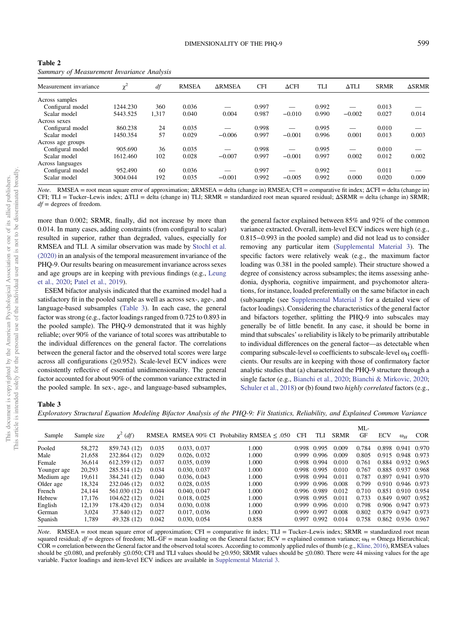| Measurement invariance | $\chi^2$ | df    | <b>RMSEA</b> | <b>ARMSEA</b> | <b>CFI</b> | $\Delta$ CFI | TLI   | $\Delta TLI$ | <b>SRMR</b> | $\triangle$ SRMR |
|------------------------|----------|-------|--------------|---------------|------------|--------------|-------|--------------|-------------|------------------|
| Across samples         |          |       |              |               |            |              |       |              |             |                  |
| Configural model       | 1244.230 | 360   | 0.036        |               | 0.997      |              | 0.992 |              | 0.013       |                  |
| Scalar model           | 5443.525 | 1,317 | 0.040        | 0.004         | 0.987      | $-0.010$     | 0.990 | $-0.002$     | 0.027       | 0.014            |
| Across sexes           |          |       |              |               |            |              |       |              |             |                  |
| Configural model       | 860.238  | 24    | 0.035        |               | 0.998      |              | 0.995 |              | 0.010       |                  |
| Scalar model           | 1450.354 | 57    | 0.029        | $-0.006$      | 0.997      | $-0.001$     | 0.996 | 0.001        | 0.013       | 0.003            |
| Across age groups      |          |       |              |               |            |              |       |              |             |                  |
| Configural model       | 905.690  | 36    | 0.035        |               | 0.998      |              | 0.995 |              | 0.010       |                  |
| Scalar model           | 1612.460 | 102   | 0.028        | $-0.007$      | 0.997      | $-0.001$     | 0.997 | 0.002        | 0.012       | 0.002            |
| Across languages       |          |       |              |               |            |              |       |              |             |                  |
| Configural model       | 952.490  | 60    | 0.036        |               | 0.997      |              | 0.992 |              | 0.011       |                  |
| Scalar model           | 3004.044 | 192   | 0.035        | $-0.001$      | 0.992      | $-0.005$     | 0.992 | 0.000        | 0.020       | 0.009            |

<span id="page-6-0"></span>Table 2 Summary of Measurement Invariance Analysis

*Note.* RMSEA = root mean square error of approximation;  $ΔRMSEA = delta (change in) RMSEA$ ; CFI = comparative fit index;  $ΔCFI = delta (change in)$ CFI; TLI = Tucker–Lewis index; ΔTLI = delta (change in) TLI; SRMR = standardized root mean squared residual; ΔSRMR = delta (change in) SRMR;  $df =$  degrees of freedom.

more than 0.002; SRMR, finally, did not increase by more than 0.014. In many cases, adding constraints (from configural to scalar) resulted in superior, rather than degraded, values, especially for RMSEA and TLI. A similar observation was made by [Stochl et al.](#page-10-0) [\(2020\)](#page-10-0) in an analysis of the temporal measurement invariance of the PHQ-9. Our results bearing on measurement invariance across sexes and age groups are in keeping with previous findings (e.g., [Leung](#page-9-0) [et al., 2020](#page-9-0); [Patel et al., 2019](#page-10-0)).

ESEM bifactor analysis indicated that the examined model had a satisfactory fit in the pooled sample as well as across sex-, age-, and language-based subsamples (Table 3). In each case, the general factor was strong (e.g., factor loadings ranged from 0.725 to 0.893 in the pooled sample). The PHQ-9 demonstrated that it was highly reliable; over 90% of the variance of total scores was attributable to the individual differences on the general factor. The correlations between the general factor and the observed total scores were large across all configurations  $(\geq 0.952)$ . Scale-level ECV indices were consistently reflective of essential unidimensionality. The general factor accounted for about 90% of the common variance extracted in the pooled sample. In sex-, age-, and language-based subsamples,

the general factor explained between 85% and 92% of the common variance extracted. Overall, item-level ECV indices were high (e.g., 0.815−0.993 in the pooled sample) and did not lead us to consider removing any particular item [\(Supplemental Material 3\)](https://doi.org/10.1037/pas0001124.supp). The specific factors were relatively weak (e.g., the maximum factor loading was 0.381 in the pooled sample). Their structure showed a degree of consistency across subsamples; the items assessing anhedonia, dysphoria, cognitive impairment, and psychomotor alterations, for instance, loaded preferentially on the same bifactor in each (sub)sample (see [Supplemental Material 3](https://doi.org/10.1037/pas0001124.supp) for a detailed view of factor loadings). Considering the characteristics of the general factor and bifactors together, splitting the PHQ-9 into subscales may generally be of little benefit. In any case, it should be borne in mind that subscales' ω reliability is likely to be primarily attributable to individual differences on the general factor—as detectable when comparing subscale-level ω coefficients to subscale-level  $\omega_H$  coefficients. Our results are in keeping with those of confirmatory factor analytic studies that (a) characterized the PHQ-9 structure through a single factor (e.g., [Bianchi et al., 2020](#page-9-0); [Bianchi & Mirkovic, 2020;](#page-9-0) [Schuler et al., 2018](#page-10-0)) or (b) found two *highly correlated* factors (e.g.,

#### Table 3

Exploratory Structural Equation Modeling Bifactor Analysis of the PHQ-9: Fit Statistics, Reliability, and Explained Common Variance

| Sample      | Sample size | $\chi^2$ (df) |       |              | RMSEA RMSEA 90% CI Probability RMSEA $\leq .050$ | <b>CFI</b> | TLI         | <b>SRMR</b> | ML-<br>GF | <b>ECV</b> | $\omega$ <sub>H</sub> | <b>COR</b> |
|-------------|-------------|---------------|-------|--------------|--------------------------------------------------|------------|-------------|-------------|-----------|------------|-----------------------|------------|
| Pooled      | 58,272      | 859.743 (12)  | 0.035 | 0.033, 0.037 | .000                                             | 0.998      | 0.995       | 0.009       | 0.784     | 0.898      | 0.941 0.970           |            |
| Male        | 21,658      | 232.864 (12)  | 0.029 | 0.026, 0.032 | 1.000                                            | 0.999      | 0.996       | 0.009       | 0.805     |            | 0.915 0.948 0.973     |            |
| Female      | 36.614      | 612.359 (12)  | 0.037 | 0.035, 0.039 | 1.000                                            | 0.998      | 0.994       | 0.010       | 0.761     | 0.884      | 0.932 0.965           |            |
| Younger age | 20,293      | 285.514 (12)  | 0.034 | 0.030, 0.037 | 1.000                                            | 0.998      | 0.995       | 0.010       | 0.767     |            | 0.885 0.937           | 0.968      |
| Medium age  | 19,611      | 384.241 (12)  | 0.040 | 0.036, 0.043 | 1.000                                            | 0.998      | 0.994       | 0.011       | 0.787     | 0.897      | 0.941                 | 0.970      |
| Older age   | 18.324      | 232.046 (12)  | 0.032 | 0.028, 0.035 | 1.000                                            | 0.999      | 0.996       | 0.008       | 0.799     | 0.910      | 0.946 0.973           |            |
| French      | 24.144      | 561.030 (12)  | 0.044 | 0.040, 0.047 | 1.000                                            |            | 0.996 0.989 | 0.012       | 0.710     | 0.851      | 0.910 0.954           |            |
| Hebrew      | 17,176      | 104.622(12)   | 0.021 | 0.018, 0.025 | 1.000                                            | 0.998      | 0.995       | 0.011       | 0.733     | 0.849      | 0.907                 | 0.952      |
| English     | 12,139      | 178.420 (12)  | 0.034 | 0.030, 0.038 | 1.000                                            | 0.999      | 0.996       | 0.010       | 0.798     | 0.906      | 0.947                 | 0.973      |
| German      | 3,024       | 37.840 (12)   | 0.027 | 0.017, 0.036 | 1.000                                            | 0.999      | 0.997       | 0.008       | 0.802     | 0.879      | 0.947                 | 0.973      |
| Spanish     | 1.789       | 49.328 (12)   | 0.042 | 0.030, 0.054 | 0.858                                            | 0.997      | 0.992       | 0.014       | 0.758     | 0.862      | 0.936 0.967           |            |

Note. RMSEA = root mean square error of approximation; CFI = comparative fit index; TLI = Tucker-Lewis index; SRMR = standardized root mean squared residual;  $df =$  degrees of freedom; ML-GF = mean loading on the General factor; ECV = explained common variance;  $\omega_H =$  Omega Hierarchical; COR = correlation between the General factor and the observed total scores. According to commonly applied rules of thumb (e.g., [Kline, 2016\)](#page-9-0), RMSEA values should be ≤0.080, and preferably ≤0.050; CFI and TLI values should be ≥0.950; SRMR values should be ≤0.080. There were 44 missing values for the age variable. Factor loadings and item-level ECV indices are available in [Supplemental Material 3.](https://doi.org/10.1037/pas0001124.supp)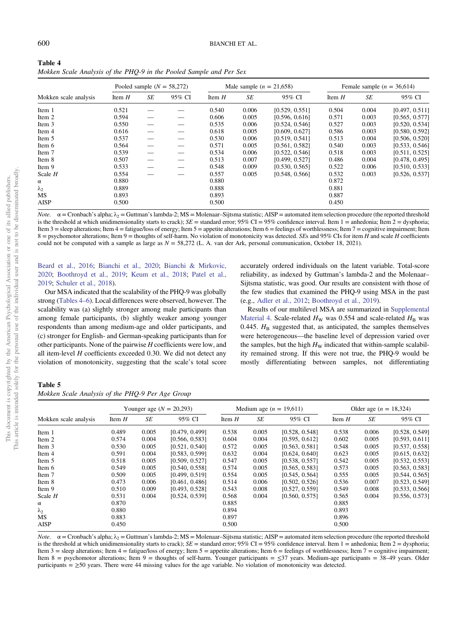| Table 4                                                             |
|---------------------------------------------------------------------|
| Mokken Scale Analysis of the PHO-9 in the Pooled Sample and Per Sex |

|                       |          |    | Pooled sample $(N = 58,272)$ |          | Male sample $(n = 21,658)$ |                |          |       | Female sample $(n = 36,614)$ |
|-----------------------|----------|----|------------------------------|----------|----------------------------|----------------|----------|-------|------------------------------|
| Mokken scale analysis | Item $H$ | SE | 95% CI                       | Item $H$ | SE                         | 95% CI         | Item $H$ | SE    | 95% CI                       |
| Item 1                | 0.521    |    |                              | 0.540    | 0.006                      | [0.529, 0.551] | 0.504    | 0.004 | [0.497, 0.511]               |
| Item 2                | 0.594    |    |                              | 0.606    | 0.005                      | [0.596, 0.616] | 0.571    | 0.003 | [0.565, 0.577]               |
| Item 3                | 0.550    |    |                              | 0.535    | 0.006                      | [0.524, 0.546] | 0.527    | 0.003 | [0.520, 0.534]               |
| Item 4                | 0.616    |    |                              | 0.618    | 0.005                      | [0.609, 0.627] | 0.586    | 0.003 | [0.580, 0.592]               |
| Item 5                | 0.537    |    |                              | 0.530    | 0.006                      | [0.519, 0.541] | 0.513    | 0.004 | [0.506, 0.520]               |
| Item 6                | 0.564    |    |                              | 0.571    | 0.005                      | [0.561, 0.582] | 0.540    | 0.003 | [0.533, 0.546]               |
| Item 7                | 0.539    |    |                              | 0.534    | 0.006                      | [0.522, 0.546] | 0.518    | 0.003 | [0.511, 0.525]               |
| Item 8                | 0.507    |    |                              | 0.513    | 0.007                      | [0.499, 0.527] | 0.486    | 0.004 | [0.478, 0.495]               |
| Item 9                | 0.533    |    |                              | 0.548    | 0.009                      | [0.530, 0.565] | 0.522    | 0.006 | [0.510, 0.533]               |
| Scale $H$             | 0.554    |    |                              | 0.557    | 0.005                      | [0.548, 0.566] | 0.532    | 0.003 | [0.526, 0.537]               |
| $\alpha$              | 0.880    |    |                              | 0.880    |                            |                | 0.872    |       |                              |
| $\lambda_2$           | 0.889    |    |                              | 0.888    |                            |                | 0.881    |       |                              |
| MS                    | 0.893    |    |                              | 0.893    |                            |                | 0.887    |       |                              |
| <b>AISP</b>           | 0.500    |    |                              | 0.500    |                            |                | 0.450    |       |                              |

*Note.*  $\alpha$  = Cronbach's alpha;  $\lambda_2$  = Guttman's lambda-2; MS = Molenaar–Sijtsma statistic; AISP = automated item selection procedure (the reported threshold is the threshold at which unidimensionality starts to crack);  $SE =$  standard error; 95% CI = 95% confidence interval. Item 1 = anhedonia; Item 2 = dysphoria; Item 3 = sleep alterations; Item 4 = fatigue/loss of energy; Item 5 = appetite alterations; Item 6 = feelings of worthlessness; Item 7 = cognitive impairment; Item  $8 =$  psychomotor alterations; Item  $9 =$  thoughts of self-harm. No violation of monotonicity was detected. SEs and 95% CIs for item H and scale H coefficients could not be computed with a sample as large as  $N = 58,272$  (L. A. van der Ark, personal communication, October 18, 2021).

[Beard et al., 2016](#page-9-0); [Bianchi et al., 2020;](#page-9-0) [Bianchi & Mirkovic,](#page-9-0) [2020;](#page-9-0) [Boothroyd et al., 2019;](#page-9-0) [Keum et al., 2018](#page-9-0); [Patel et al.,](#page-10-0) [2019;](#page-10-0) [Schuler et al., 2018\)](#page-10-0).

Our MSA indicated that the scalability of the PHQ-9 was globally strong (Tables 4–6). Local differences were observed, however. The scalability was (a) slightly stronger among male participants than among female participants, (b) slightly weaker among younger respondents than among medium-age and older participants, and (c) stronger for English- and German-speaking participants than for other participants. None of the pairwise  $H$  coefficients were low, and all item-level  $H$  coefficients exceeded 0.30. We did not detect any violation of monotonicity, suggesting that the scale's total score accurately ordered individuals on the latent variable. Total-score reliability, as indexed by Guttman's lambda-2 and the Molenaar– Sijtsma statistic, was good. Our results are consistent with those of the few studies that examined the PHQ-9 using MSA in the past (e.g., [Adler et al., 2012](#page-9-0); [Boothroyd et al., 2019](#page-9-0)).

Results of our multilevel MSA are summarized in [Supplemental](https://doi.org/10.1037/pas0001124.supp) [Material 4.](https://doi.org/10.1037/pas0001124.supp) Scale-related  $H_W$  was 0.554 and scale-related  $H_B$  was 0.445.  $H<sub>B</sub>$  suggested that, as anticipated, the samples themselves were heterogeneous—the baseline level of depression varied over the samples, but the high  $H_W$  indicated that within-sample scalability remained strong. If this were not true, the PHQ-9 would be mostly differentiating between samples, not differentiating

### Table 5

| Mokken Scale Analysis of the PHQ-9 Per Age Group |  |
|--------------------------------------------------|--|
|--------------------------------------------------|--|

|                       |          |       | Younger age $(N = 20,293)$ |          |       | Medium age $(n = 19,611)$ |          | Older age $(n = 18,324)$ |                |
|-----------------------|----------|-------|----------------------------|----------|-------|---------------------------|----------|--------------------------|----------------|
| Mokken scale analysis | Item $H$ | SE    | 95% CI                     | Item $H$ | SE    | 95% CI                    | Item $H$ | SE                       | 95% CI         |
| Item 1                | 0.489    | 0.005 | [0.479, 0.499]             | 0.538    | 0.005 | [0.528, 0.548]            | 0.538    | 0.006                    | [0.528, 0.549] |
| Item 2                | 0.574    | 0.004 | [0.566, 0.583]             | 0.604    | 0.004 | [0.595, 0.612]            | 0.602    | 0.005                    | [0.593, 0.611] |
| Item 3                | 0.530    | 0.005 | [0.521, 0.540]             | 0.572    | 0.005 | [0.563, 0.581]            | 0.548    | 0.005                    | [0.537, 0.558] |
| Item 4                | 0.591    | 0.004 | [0.583, 0.599]             | 0.632    | 0.004 | [0.624, 0.640]            | 0.623    | 0.005                    | [0.615, 0.632] |
| Item 5                | 0.518    | 0.005 | [0.509, 0.527]             | 0.547    | 0.005 | [0.538, 0.557]            | 0.542    | 0.005                    | [0.532, 0.553] |
| Item 6                | 0.549    | 0.005 | [0.540, 0.558]             | 0.574    | 0.005 | [0.565, 0.583]            | 0.573    | 0.005                    | [0.563, 0.583] |
| Item 7                | 0.509    | 0.005 | [0.499, 0.519]             | 0.554    | 0.005 | [0.545, 0.564]            | 0.555    | 0.005                    | [0.544, 0.565] |
| Item 8                | 0.473    | 0.006 | [0.461, 0.486]             | 0.514    | 0.006 | [0.502, 0.526]            | 0.536    | 0.007                    | [0.523, 0.549] |
| Item 9                | 0.510    | 0.009 | [0.493, 0.528]             | 0.543    | 0.008 | [0.527, 0.559]            | 0.549    | 0.008                    | [0.533, 0.566] |
| Scale $H$             | 0.531    | 0.004 | [0.524, 0.539]             | 0.568    | 0.004 | [0.560, 0.575]            | 0.565    | 0.004                    | [0.556, 0.573] |
| $\alpha$              | 0.870    |       |                            | 0.885    |       |                           | 0.885    |                          |                |
| $\lambda_2$           | 0.880    |       |                            | 0.894    |       |                           | 0.893    |                          |                |
| <b>MS</b>             | 0.883    |       |                            | 0.897    |       |                           | 0.896    |                          |                |
| <b>AISP</b>           | 0.450    |       |                            | 0.500    |       |                           | 0.500    |                          |                |

*Note.*  $α =$ Cronbach's alpha;  $λ<sub>2</sub> =$  Guttman's lambda-2; MS = Molenaar–Sijtsma statistic; AISP = automated item selection procedure (the reported threshold is the threshold at which unidimensionality starts to crack);  $SE =$  standard error; 95% CI = 95% confidence interval. Item 1 = anhedonia; Item 2 = dysphoria; Item 3 = sleep alterations; Item 4 = fatigue/loss of energy; Item 5 = appetite alterations; Item 6 = feelings of worthlessness; Item 7 = cognitive impairment; Item 8 = psychomotor alterations; Item 9 = thoughts of self-harm. Younger participants = ≤37 years. Medium-age participants = 38–49 years. Older participants  $=$   $\geq$ 50 years. There were 44 missing values for the age variable. No violation of monotonicity was detected.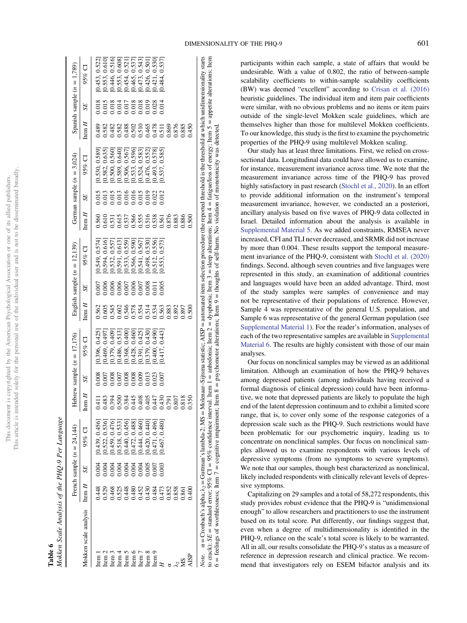| j<br>ĭ<br>š<br>j         | j<br>ł<br>ì<br>l |
|--------------------------|------------------|
| į                        |                  |
|                          |                  |
| Š<br>S<br>j              |                  |
|                          | Ē                |
|                          |                  |
| $\overline{a}$<br>j<br>i | j,               |
| j                        |                  |
|                          |                  |
|                          |                  |
| )<br>ï                   |                  |
|                          | l<br>I           |
| í                        | ā<br>j<br>į<br>ł |

| Mokken Scale Analysis of the PHQ-9 Per Language<br>Tabl |
|---------------------------------------------------------|
|---------------------------------------------------------|

|                                                                                                                                                                                                                                                                                                                                                                                                                                              |                                                          |              | French sample $(n = 24.144)$         |                  |       | Hebrew sample $(n = 17, 176)$ |                                                    |                         | English sample $(n = 12, 139)$                                                                              |          |                                                    | German sample $(n = 3.024)$                                                                                                                                                                                               |                                                |                                                                                   | Spanish sample $(n = 1,789)$                                                           |
|----------------------------------------------------------------------------------------------------------------------------------------------------------------------------------------------------------------------------------------------------------------------------------------------------------------------------------------------------------------------------------------------------------------------------------------------|----------------------------------------------------------|--------------|--------------------------------------|------------------|-------|-------------------------------|----------------------------------------------------|-------------------------|-------------------------------------------------------------------------------------------------------------|----------|----------------------------------------------------|---------------------------------------------------------------------------------------------------------------------------------------------------------------------------------------------------------------------------|------------------------------------------------|-----------------------------------------------------------------------------------|----------------------------------------------------------------------------------------|
| Mokken scale analysis                                                                                                                                                                                                                                                                                                                                                                                                                        | Item $H$                                                 | SE           | $95\%$ Cl                            | $\text{Item } H$ | SE    | $95%$ CI                      | Item $H$                                           | SE                      | $95%$ CI                                                                                                    | Item $H$ | SE                                                 | $95\%$ CI                                                                                                                                                                                                                 | Item $H$                                       | SE                                                                                | $95\%$ CI                                                                              |
| Item                                                                                                                                                                                                                                                                                                                                                                                                                                         | 0.448                                                    | 0.004        | [0.439, 0.456]                       | 0.411            | 0.008 | [0.396, 0.425]                | 0.562                                              | 00(                     | [0.549, 0.574]                                                                                              | 0.560    | 0.015                                              | 0.530, 0.589                                                                                                                                                                                                              | 0.489                                          | 0.018                                                                             | 0.453, 0.522                                                                           |
|                                                                                                                                                                                                                                                                                                                                                                                                                                              |                                                          | 004          | 0.522, 0.536                         | 0.483            | 0.007 | 0.469, 0.497                  |                                                    | 0.006                   | 0.594, 0.616                                                                                                |          |                                                    |                                                                                                                                                                                                                           | 0.582                                          | 0.015                                                                             | [0.553, 0.610]                                                                         |
| lten<br>Leon<br>Leon                                                                                                                                                                                                                                                                                                                                                                                                                         | 0538<br>05438803355502<br>0505555555088<br>0500000000000 | 004          | 0.459, 0.476                         | 0.394            | 0.008 | 0.379, 0.409                  | 0.605<br>0.545<br>0.502<br>0.514<br>0.514<br>0.503 | 0.006                   |                                                                                                             |          | 0.013<br>0.015<br>0.016<br>0.016<br>0.019<br>0.022 | $[0.582, 0.635] \newline [0.500, 0.560] \newline [0.500, 0.560] \newline [0.589, 0.640] \newline [0.589, 0.567] \newline [0.533, 0.596] \newline [0.524, 0.583] \newline [0.524, 0.582] \newline [0.476, 0.552] \newline$ |                                                | 0.018                                                                             |                                                                                        |
|                                                                                                                                                                                                                                                                                                                                                                                                                                              |                                                          |              | [0.518, 0.533]                       | 0.500            |       | 0.486, 0.513                  |                                                    |                         | $\begin{array}{c} [0.532,\, 0.557] \\ [0.591,\, 0.613] \\ [0.533,\, 0.559] \\ [0.566,\, 0.590] \end{array}$ |          |                                                    |                                                                                                                                                                                                                           | 0.482<br>0.588<br>0.590.500.50<br>0.500.500.50 |                                                                                   | [0.446, 0.516]<br>[0.553, 0.608]<br>[0.454, 0.521]<br>[0.465, 0.537]<br>[0.473, 0.543] |
| Item 5                                                                                                                                                                                                                                                                                                                                                                                                                                       |                                                          | 3888<br>2888 | 0.440, 0.456                         | 0.384            | 0.008 | 0.368, 0.400                  |                                                    |                         |                                                                                                             |          |                                                    |                                                                                                                                                                                                                           |                                                | $\begin{array}{c} 0.014 \\ 0.017 \\ 0.018 \\ 0.018 \\ 0.018 \\ 0.019 \end{array}$ |                                                                                        |
| Item $6$                                                                                                                                                                                                                                                                                                                                                                                                                                     |                                                          |              |                                      | 0.445            | 0.008 | [0.428, 0.460]                |                                                    |                         |                                                                                                             |          |                                                    |                                                                                                                                                                                                                           |                                                |                                                                                   |                                                                                        |
| Item $7$                                                                                                                                                                                                                                                                                                                                                                                                                                     |                                                          |              | $[0.472, 0.488]$<br>$[0.444, 0.460]$ | 0.408            | 0.009 | [0.391, 0.425]                |                                                    |                         | [0.541, 0.567                                                                                               |          |                                                    |                                                                                                                                                                                                                           |                                                |                                                                                   |                                                                                        |
| Item 8                                                                                                                                                                                                                                                                                                                                                                                                                                       |                                                          | 0.005        | 0.420, 0.440                         | 0.405            | 0.013 | 0.379, 0.430                  |                                                    | 3.005<br>1.011<br>2.005 | 0.498, 0.530                                                                                                |          |                                                    |                                                                                                                                                                                                                           |                                                |                                                                                   | 0.426, 0.501                                                                           |
| Item <sub>9</sub>                                                                                                                                                                                                                                                                                                                                                                                                                            |                                                          |              | 0.471, 0.496                         | 0.447            | 0.023 | 0.400, 0.490                  |                                                    |                         | 0.556<br>0.512,                                                                                             |          |                                                    |                                                                                                                                                                                                                           |                                                | $0.028$<br>$0.014$                                                                | 0.421, 0.530                                                                           |
|                                                                                                                                                                                                                                                                                                                                                                                                                                              |                                                          | 003          | 0.467, 0.480                         | 0.430            | 0.007 | 0.417, 0.443                  |                                                    |                         | 0.573<br>0.553,                                                                                             |          | 0.012                                              | $[0.493, 0.578]$<br>$[0.537, 0.585]$                                                                                                                                                                                      |                                                |                                                                                   | 0.484, 0.537                                                                           |
|                                                                                                                                                                                                                                                                                                                                                                                                                                              |                                                          |              |                                      | 0.791            |       |                               | 0.883<br>0.892<br>0.897                            |                         |                                                                                                             |          |                                                    |                                                                                                                                                                                                                           | 0.869                                          |                                                                                   |                                                                                        |
| ಕ ನೆ                                                                                                                                                                                                                                                                                                                                                                                                                                         |                                                          |              |                                      | 0.807            |       |                               |                                                    |                         |                                                                                                             |          |                                                    |                                                                                                                                                                                                                           |                                                |                                                                                   |                                                                                        |
| SM                                                                                                                                                                                                                                                                                                                                                                                                                                           | 0.861                                                    |              |                                      | 0.818            |       |                               |                                                    |                         |                                                                                                             |          |                                                    |                                                                                                                                                                                                                           | 3.885<br>3.885                                 |                                                                                   |                                                                                        |
| AISP                                                                                                                                                                                                                                                                                                                                                                                                                                         | 0.40C                                                    |              |                                      | 0.350            |       |                               | .500                                               |                         |                                                                                                             | 0.500    |                                                    |                                                                                                                                                                                                                           | 0.450                                          |                                                                                   |                                                                                        |
| Note. $\alpha =$ Cronbach's alpha; $\lambda_2 =$ Guttman's lambda-2; MS = Molenaar-Sijisma statistic; AISP = automated item selection procedure (the reported threshold is the threshold at which unidimensionality starts<br>to crack); $SE =$ standard error; 95% COIF = 95% confidence interval. Item 1 = anhedonia; Item 2 = dysphoria; Item 3 = sleep alterations; Item 4 = fatigue/loss of energy; Item 5 = appetite alterations; Item |                                                          |              |                                      |                  |       |                               |                                                    |                         |                                                                                                             |          |                                                    |                                                                                                                                                                                                                           |                                                |                                                                                   |                                                                                        |

participants within each sample, a state of affairs that would be undesirable. With a value of 0.802, the ratio of between-sample scalability coefficients to within-sample scalability coefficients (BW) was deemed "excellent" according to [Crisan et al. \(2016\)](#page-9-0) heuristic guidelines. The individual item and item pair coefficients were similar, with no obvious problems and no items or item pairs outside of the single-level Mokken scale guidelines, which are themselves higher than those for multilevel Mokken coefficients. To our knowledge, this study is the first to examine the psychometric properties of the PHQ-9 using multilevel Mokken scaling.

Our study has at least three limitations. First, we relied on crosssectional data. Longitudinal data could have allowed us to examine, for instance, measurement invariance across time. We note that the measurement invariance across time of the PHQ-9 has proved highly satisfactory in past research [\(Stochl et al., 2020\)](#page-10-0). In an effort to provide additional information on the instrument's temporal measurement invariance, however, we conducted an a posteriori, ancillary analysis based on five waves of PHQ-9 data collected in Israel. Detailed information about the analysis is available in [Supplemental Material 5.](https://doi.org/10.1037/pas0001124.supp) As we added constraints, RMSEA never increased, CFI and TLI never decreased, and SRMR did not increase by more than 0.004. These results support the temporal measurement invariance of the PHQ-9, consistent with [Stochl et al. \(2020\)](#page-10-0) findings. Second, although seven countries and five languages were represented in this study, an examination of additional countries and languages would have been an added advantage. Third, most of the study samples were samples of convenience and may not be representative of their populations of reference. However, Sample 4 was representative of the general U.S. population, and Sample 6 was representative of the general German population (see [Supplemental Material 1\)](https://doi.org/10.1037/pas0001124.supp). For the reader's information, analyses of each of the two representative samples are available in [Supplemental](https://doi.org/10.1037/pas0001124.supp) [Material 6.](https://doi.org/10.1037/pas0001124.supp) The results are highly consistent with those of our main analyses.

Our focus on nonclinical samples may be viewed as an additional limitation. Although an examination of how the PHQ-9 behaves among depressed patients (among individuals having received a formal diagnosis of clinical depression) could have been informative, we note that depressed patients are likely to populate the high end of the latent depression continuum and to exhibit a limited score range, that is, to cover only some of the response categories of a depression scale such as the PHQ-9. Such restrictions would have been problematic for our psychometric inquiry, leading us to concentrate on nonclinical samples. Our focus on nonclinical samples allowed us to examine respondents with various levels of depressive symptoms (from no symptoms to severe symptoms). We note that our samples, though best characterized as nonclinical, likely included respondents with clinically relevant levels of depressive symptoms.

Capitalizing on 29 samples and a total of 58,272 respondents, this study provides robust evidence that the PHQ-9 is "unidimensional enough" to allow researchers and practitioners to use the instrument based on its total score. Put differently, our findings suggest that, even when a degree of multidimensionality is identified in the PHQ-9, reliance on the scale's total score is likely to be warranted. All in all, our results consolidate the PHQ-9's status as a measure of reference in depression research and clinical practice. We recommend that investigators rely on ESEM bifactor analysis and its

6

 $6 =$  feelings of worthlessness; Item  $7$ 

cognitive impairment; Item 8

psychomotor alterations; Item 9

thoughts of self-harm. No violation of monotonicity was detected.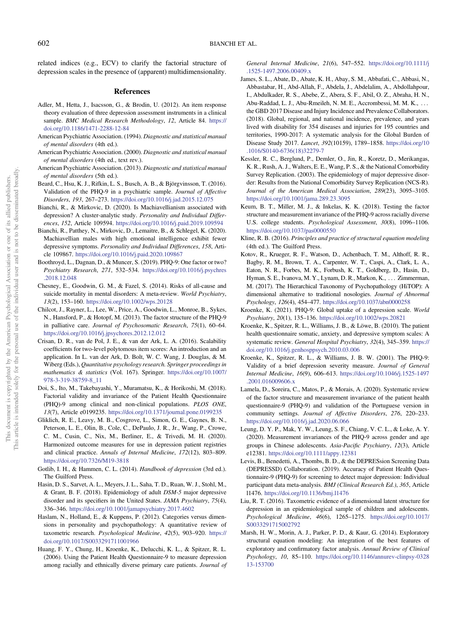<span id="page-9-0"></span>related indices (e.g., ECV) to clarify the factorial structure of depression scales in the presence of (apparent) multidimensionality.

#### References

- Adler, M., Hetta, J., Isacsson, G., & Brodin, U. (2012). An item response theory evaluation of three depression assessment instruments in a clinical sample. BMC Medical Research Methodology, 12, Article 84. [https://](https://doi.org/10.1186/1471-2288-12-84) [doi.org/10.1186/1471-2288-12-84](https://doi.org/10.1186/1471-2288-12-84)
- American Psychiatric Association. (1994). Diagnostic and statistical manual of mental disorders (4th ed.).
- American Psychiatric Association. (2000). Diagnostic and statistical manual of mental disorders (4th ed., text rev.).
- American Psychiatric Association. (2013). Diagnostic and statistical manual of mental disorders (5th ed.).
- Beard, C., Hsu, K. J., Rifkin, L. S., Busch, A. B., & Björgvinsson, T. (2016). Validation of the PHQ-9 in a psychiatric sample. Journal of Affective Disorders, 193, 267–273. <https://doi.org/10.1016/j.jad.2015.12.075>
- Bianchi, R., & Mirkovic, D. (2020). Is Machiavellianism associated with depression? A cluster-analytic study. Personality and Individual Differences, 152, Article 109594. <https://doi.org/10.1016/j.paid.2019.109594>
- Bianchi, R., Patthey, N., Mirkovic, D., Lemaitre, B., & Schlegel, K. (2020). Machiavellian males with high emotional intelligence exhibit fewer depressive symptoms. Personality and Individual Differences, 158, Article 109867. <https://doi.org/10.1016/j.paid.2020.109867>
- Boothroyd, L., Dagnan, D., & Muncer, S. (2019). PHQ-9: One factor or two? Psychiatry Research, 271, 532–534. [https://doi.org/10.1016/j.psychres](https://doi.org/10.1016/j.psychres.2018.12.048) [.2018.12.048](https://doi.org/10.1016/j.psychres.2018.12.048)
- Chesney, E., Goodwin, G. M., & Fazel, S. (2014). Risks of all-cause and suicide mortality in mental disorders: A meta-review. World Psychiatry, 13(2), 153–160. <https://doi.org/10.1002/wps.20128>
- Chilcot, J., Rayner, L., Lee, W., Price, A., Goodwin, L., Monroe, B., Sykes, N., Hansford, P., & Hotopf, M. (2013). The factor structure of the PHQ-9 in palliative care. Journal of Psychosomatic Research, 75(1), 60–64. <https://doi.org/10.1016/j.jpsychores.2012.12.012>
- Crisan, D. R., van de Pol, J. E., & van der Ark, L. A. (2016). Scalability coefficients for two-level polytomous item scores: An introduction and an application. In L. van der Ark, D. Bolt, W. C. Wang, J. Douglas, & M. Wiberg (Eds.), Quantitative psychology research. Springer proceedings in mathematics & statistics (Vol. 167). Springer. [https://doi.org/10.1007/](https://doi.org/10.1007/978-3-319-38759-8_11) [978-3-319-38759-8\\_11](https://doi.org/10.1007/978-3-319-38759-8_11)
- Doi, S., Ito, M., Takebayashi, Y., Muramatsu, K., & Horikoshi, M. (2018). Factorial validity and invariance of the Patient Health Questionnaire (PHQ)-9 among clinical and non-clinical populations. PLOS ONE, 13(7), Article e0199235. <https://doi.org/10.1371/journal.pone.0199235>
- Gliklich, R. E., Leavy, M. B., Cosgrove, L., Simon, G. E., Gaynes, B. N., Peterson, L. E., Olin, B., Cole, C., DePaulo, J. R., Jr., Wang, P., Crowe, C. M., Cusin, C., Nix, M., Berliner, E., & Trivedi, M. H. (2020). Harmonized outcome measures for use in depression patient registries and clinical practice. Annals of Internal Medicine, 172(12), 803–809. <https://doi.org/10.7326/M19-3818>
- Gotlib, I. H., & Hammen, C. L. (2014). Handbook of depression (3rd ed.). The Guilford Press.
- Hasin, D. S., Sarvet, A. L., Meyers, J. L., Saha, T. D., Ruan, W. J., Stohl, M., & Grant, B. F. (2018). Epidemiology of adult DSM-5 major depressive disorder and its specifiers in the United States. JAMA Psychiatry, 75(4), 336–346. <https://doi.org/10.1001/jamapsychiatry.2017.4602>
- Haslam, N., Holland, E., & Kuppens, P. (2012). Categories versus dimensions in personality and psychopathology: A quantitative review of taxometric research. Psychological Medicine, 42(5), 903–920. [https://](https://doi.org/10.1017/S0033291711001966) [doi.org/10.1017/S0033291711001966](https://doi.org/10.1017/S0033291711001966)
- Huang, F. Y., Chung, H., Kroenke, K., Delucchi, K. L., & Spitzer, R. L. (2006). Using the Patient Health Questionnaire-9 to measure depression among racially and ethnically diverse primary care patients. Journal of

General Internal Medicine, 21(6), 547–552. [https://doi.org/10.1111/j](https://doi.org/10.1111/j.1525-1497.2006.00409.x) [.1525-1497.2006.00409.x](https://doi.org/10.1111/j.1525-1497.2006.00409.x)

- James, S. L., Abate, D., Abate, K. H., Abay, S. M., Abbafati, C., Abbasi, N., Abbastabar, H., Abd-Allah, F., Abdela, J., Abdelalim, A., Abdollahpour, I., Abdulkader, R. S., Abebe, Z., Abera, S. F., Abil, O. Z., Abraha, H. N., Abu-Raddad, L. J., Abu-Rmeileh, N. M. E., Accrombessi, M. M. K., ... the GBD 2017 Disease and Injury Incidence and Prevalence Collaborators. (2018). Global, regional, and national incidence, prevalence, and years lived with disability for 354 diseases and injuries for 195 countries and territories, 1990-2017: A systematic analysis for the Global Burden of Disease Study 2017. Lancet, 392(10159), 1789–1858. [https://doi.org/10](https://doi.org/10.1016/S0140-6736(18)32279-7) [.1016/S0140-6736\(18\)32279-7](https://doi.org/10.1016/S0140-6736(18)32279-7)
- Kessler, R. C., Berglund, P., Demler, O., Jin, R., Koretz, D., Merikangas, K. R., Rush, A. J., Walters, E. E., Wang, P. S., & the National Comorbidity Survey Replication. (2003). The epidemiology of major depressive disorder: Results from the National Comorbidity Survey Replication (NCS-R). Journal of the American Medical Association, 289(23), 3095–3105. <https://doi.org/10.1001/jama.289.23.3095>
- Keum, B. T., Miller, M. J., & Inkelas, K. K. (2018). Testing the factor structure and measurement invariance of the PHQ-9 across racially diverse U.S. college students. Psychological Assessment, 30(8), 1096–1106. <https://doi.org/10.1037/pas0000550>
- Kline, R. B. (2016). Principles and practice of structural equation modeling (4th ed.). The Guilford Press.
- Kotov, R., Krueger, R. F., Watson, D., Achenbach, T. M., Althoff, R. R., Bagby, R. M., Brown, T. A., Carpenter, W. T., Caspi, A., Clark, L. A., Eaton, N. R., Forbes, M. K., Forbush, K. T., Goldberg, D., Hasin, D., Hyman, S. E., Ivanova, M. Y., Lynam, D. R., Markon, K., ... Zimmerman, M. (2017). The Hierarchical Taxonomy of Psychopathology (HiTOP): A dimensional alternative to traditional nosologies. Journal of Abnormal Psychology, 126(4), 454–477. <https://doi.org/10.1037/abn0000258>
- Kroenke, K. (2021). PHQ-9: Global uptake of a depression scale. World Psychiatry, 20(1), 135–136. <https://doi.org/10.1002/wps.20821>
- Kroenke, K., Spitzer, R. L., Williams, J. B., & Löwe, B. (2010). The patient health questionnaire somatic, anxiety, and depressive symptom scales: A systematic review. General Hospital Psychiatry, 32(4), 345–359. [https://](https://doi.org/10.1016/j.genhosppsych.2010.03.006) [doi.org/10.1016/j.genhosppsych.2010.03.006](https://doi.org/10.1016/j.genhosppsych.2010.03.006)
- Kroenke, K., Spitzer, R. L., & Williams, J. B. W. (2001). The PHQ-9: Validity of a brief depression severity measure. Journal of General Internal Medicine, 16(9), 606–613. [https://doi.org/10.1046/j.1525-1497](https://doi.org/10.1046/j.1525-1497.2001.016009606.x) [.2001.016009606.x](https://doi.org/10.1046/j.1525-1497.2001.016009606.x)
- Lamela, D., Soreira, C., Matos, P., & Morais, A. (2020). Systematic review of the factor structure and measurement invariance of the patient health questionnaire-9 (PHQ-9) and validation of the Portuguese version in community settings. Journal of Affective Disorders, 276, 220–233. <https://doi.org/10.1016/j.jad.2020.06.066>
- Leung, D. Y. P., Mak, Y. W., Leung, S. F., Chiang, V. C. L., & Loke, A. Y. (2020). Measurement invariances of the PHQ-9 across gender and age groups in Chinese adolescents. Asia-Pacific Psychiatry, 12(3), Article e12381. <https://doi.org/10.1111/appy.12381>
- Levis, B., Benedetti, A., Thombs, B. D., & the DEPRESsion Screening Data (DEPRESSD) Collaboration. (2019). Accuracy of Patient Health Questionnaire-9 (PHQ-9) for screening to detect major depression: Individual participant data meta-analysis. BMJ (Clinical Research Ed.), 365, Article l1476. <https://doi.org/10.1136/bmj.l1476>
- Liu, R. T. (2016). Taxometric evidence of a dimensional latent structure for depression in an epidemiological sample of children and adolescents. Psychological Medicine, 46(6), 1265–1275. [https://doi.org/10.1017/](https://doi.org/10.1017/S0033291715002792) [S0033291715002792](https://doi.org/10.1017/S0033291715002792)
- Marsh, H. W., Morin, A. J., Parker, P. D., & Kaur, G. (2014). Exploratory structural equation modeling: An integration of the best features of exploratory and confirmatory factor analysis. Annual Review of Clinical Psychology, 10, 85–110. [https://doi.org/10.1146/annurev-clinpsy-0328](https://doi.org/10.1146/annurev-clinpsy-032813-153700) [13-153700](https://doi.org/10.1146/annurev-clinpsy-032813-153700)